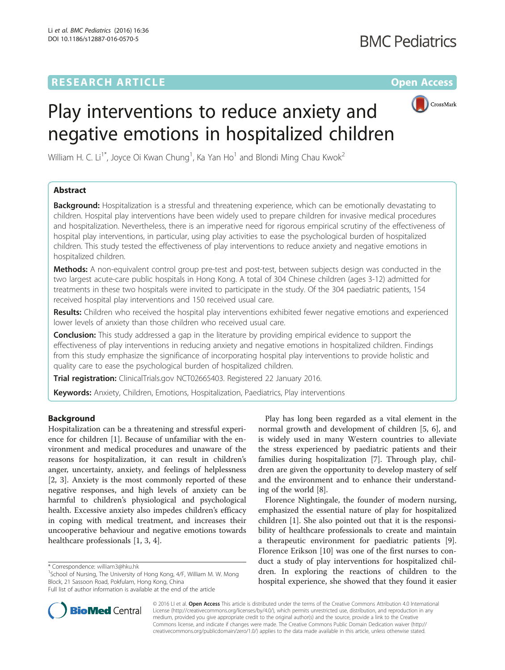# **RESEARCH ARTICLE External Structure Community Community Community Community Community Community Community Community**



# Play interventions to reduce anxiety and negative emotions in hospitalized children

William H. C. Li $^{\rm 1*}$ , Joyce Oi Kwan Chung $^{\rm 1}$ , Ka Yan Ho $^{\rm 1}$  and Blondi Ming Chau Kwok $^{\rm 2}$ 

# Abstract

**Background:** Hospitalization is a stressful and threatening experience, which can be emotionally devastating to children. Hospital play interventions have been widely used to prepare children for invasive medical procedures and hospitalization. Nevertheless, there is an imperative need for rigorous empirical scrutiny of the effectiveness of hospital play interventions, in particular, using play activities to ease the psychological burden of hospitalized children. This study tested the effectiveness of play interventions to reduce anxiety and negative emotions in hospitalized children.

Methods: A non-equivalent control group pre-test and post-test, between subjects design was conducted in the two largest acute-care public hospitals in Hong Kong. A total of 304 Chinese children (ages 3-12) admitted for treatments in these two hospitals were invited to participate in the study. Of the 304 paediatric patients, 154 received hospital play interventions and 150 received usual care.

Results: Children who received the hospital play interventions exhibited fewer negative emotions and experienced lower levels of anxiety than those children who received usual care.

**Conclusion:** This study addressed a gap in the literature by providing empirical evidence to support the effectiveness of play interventions in reducing anxiety and negative emotions in hospitalized children. Findings from this study emphasize the significance of incorporating hospital play interventions to provide holistic and quality care to ease the psychological burden of hospitalized children.

Trial registration: ClinicalTrials.gov [NCT02665403](https://clinicaltrials.gov/ct2/show/NCT02665403). Registered 22 January 2016.

Keywords: Anxiety, Children, Emotions, Hospitalization, Paediatrics, Play interventions

# Background

Hospitalization can be a threatening and stressful experience for children [[1\]](#page-8-0). Because of unfamiliar with the environment and medical procedures and unaware of the reasons for hospitalization, it can result in children's anger, uncertainty, anxiety, and feelings of helplessness [[2, 3\]](#page-8-0). Anxiety is the most commonly reported of these negative responses, and high levels of anxiety can be harmful to children's physiological and psychological health. Excessive anxiety also impedes children's efficacy in coping with medical treatment, and increases their uncooperative behaviour and negative emotions towards healthcare professionals [\[1](#page-8-0), [3](#page-8-0), [4](#page-8-0)].

 $1$ School of Nursing, The University of Hong Kong, 4/F, William M. W. Mong Block, 21 Sassoon Road, Pokfulam, Hong Kong, China



Florence Nightingale, the founder of modern nursing, emphasized the essential nature of play for hospitalized children [[1\]](#page-8-0). She also pointed out that it is the responsibility of healthcare professionals to create and maintain a therapeutic environment for paediatric patients [\[9](#page-8-0)]. Florence Erikson [\[10](#page-8-0)] was one of the first nurses to conduct a study of play interventions for hospitalized children. In exploring the reactions of children to the hospital experience, she showed that they found it easier



© 2016 LI et al. Open Access This article is distributed under the terms of the Creative Commons Attribution 4.0 International License ([http://creativecommons.org/licenses/by/4.0/\)](http://creativecommons.org/licenses/by/4.0/), which permits unrestricted use, distribution, and reproduction in any medium, provided you give appropriate credit to the original author(s) and the source, provide a link to the Creative Commons license, and indicate if changes were made. The Creative Commons Public Domain Dedication waiver ([http://](http://creativecommons.org/publicdomain/zero/1.0/) [creativecommons.org/publicdomain/zero/1.0/\)](http://creativecommons.org/publicdomain/zero/1.0/) applies to the data made available in this article, unless otherwise stated.

<sup>\*</sup> Correspondence: [william3@hku.hk](mailto:william3@hku.hk) <sup>1</sup>

Full list of author information is available at the end of the article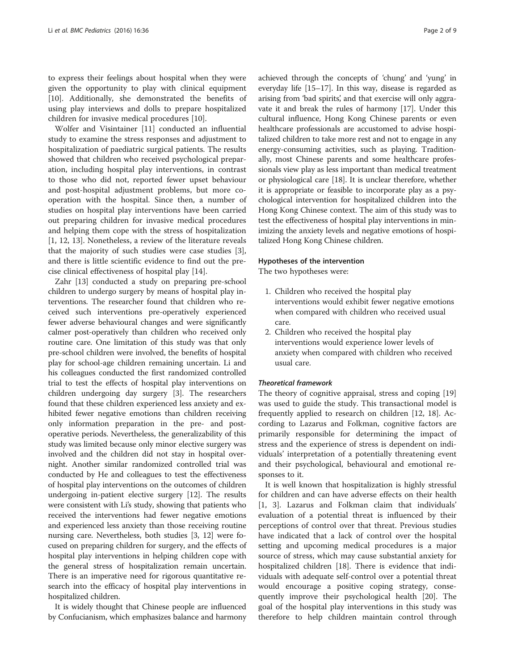to express their feelings about hospital when they were given the opportunity to play with clinical equipment [[10\]](#page-8-0). Additionally, she demonstrated the benefits of using play interviews and dolls to prepare hospitalized children for invasive medical procedures [[10\]](#page-8-0).

Wolfer and Visintainer [\[11\]](#page-8-0) conducted an influential study to examine the stress responses and adjustment to hospitalization of paediatric surgical patients. The results showed that children who received psychological preparation, including hospital play interventions, in contrast to those who did not, reported fewer upset behaviour and post-hospital adjustment problems, but more cooperation with the hospital. Since then, a number of studies on hospital play interventions have been carried out preparing children for invasive medical procedures and helping them cope with the stress of hospitalization [[1, 12, 13\]](#page-8-0). Nonetheless, a review of the literature reveals that the majority of such studies were case studies [\[3](#page-8-0)], and there is little scientific evidence to find out the precise clinical effectiveness of hospital play [\[14](#page-8-0)].

Zahr [[13](#page-8-0)] conducted a study on preparing pre-school children to undergo surgery by means of hospital play interventions. The researcher found that children who received such interventions pre-operatively experienced fewer adverse behavioural changes and were significantly calmer post-operatively than children who received only routine care. One limitation of this study was that only pre-school children were involved, the benefits of hospital play for school-age children remaining uncertain. Li and his colleagues conducted the first randomized controlled trial to test the effects of hospital play interventions on children undergoing day surgery [[3\]](#page-8-0). The researchers found that these children experienced less anxiety and exhibited fewer negative emotions than children receiving only information preparation in the pre- and postoperative periods. Nevertheless, the generalizability of this study was limited because only minor elective surgery was involved and the children did not stay in hospital overnight. Another similar randomized controlled trial was conducted by He and colleagues to test the effectiveness of hospital play interventions on the outcomes of children undergoing in-patient elective surgery [[12](#page-8-0)]. The results were consistent with Li's study, showing that patients who received the interventions had fewer negative emotions and experienced less anxiety than those receiving routine nursing care. Nevertheless, both studies [\[3](#page-8-0), [12\]](#page-8-0) were focused on preparing children for surgery, and the effects of hospital play interventions in helping children cope with the general stress of hospitalization remain uncertain. There is an imperative need for rigorous quantitative research into the efficacy of hospital play interventions in hospitalized children.

It is widely thought that Chinese people are influenced by Confucianism, which emphasizes balance and harmony achieved through the concepts of 'chung' and 'yung' in everyday life [[15](#page-8-0)–[17\]](#page-8-0). In this way, disease is regarded as arising from 'bad spirits', and that exercise will only aggravate it and break the rules of harmony [\[17](#page-8-0)]. Under this cultural influence, Hong Kong Chinese parents or even healthcare professionals are accustomed to advise hospitalized children to take more rest and not to engage in any energy-consuming activities, such as playing. Traditionally, most Chinese parents and some healthcare professionals view play as less important than medical treatment or physiological care [\[18](#page-8-0)]. It is unclear therefore, whether it is appropriate or feasible to incorporate play as a psychological intervention for hospitalized children into the Hong Kong Chinese context. The aim of this study was to test the effectiveness of hospital play interventions in minimizing the anxiety levels and negative emotions of hospitalized Hong Kong Chinese children.

#### Hypotheses of the intervention

The two hypotheses were:

- 1. Children who received the hospital play interventions would exhibit fewer negative emotions when compared with children who received usual care.
- 2. Children who received the hospital play interventions would experience lower levels of anxiety when compared with children who received usual care.

# Theoretical framework

The theory of cognitive appraisal, stress and coping [[19](#page-8-0)] was used to guide the study. This transactional model is frequently applied to research on children [[12, 18\]](#page-8-0). According to Lazarus and Folkman, cognitive factors are primarily responsible for determining the impact of stress and the experience of stress is dependent on individuals' interpretation of a potentially threatening event and their psychological, behavioural and emotional responses to it.

It is well known that hospitalization is highly stressful for children and can have adverse effects on their health [[1, 3\]](#page-8-0). Lazarus and Folkman claim that individuals' evaluation of a potential threat is influenced by their perceptions of control over that threat. Previous studies have indicated that a lack of control over the hospital setting and upcoming medical procedures is a major source of stress, which may cause substantial anxiety for hospitalized children [\[18\]](#page-8-0). There is evidence that individuals with adequate self-control over a potential threat would encourage a positive coping strategy, consequently improve their psychological health [\[20](#page-8-0)]. The goal of the hospital play interventions in this study was therefore to help children maintain control through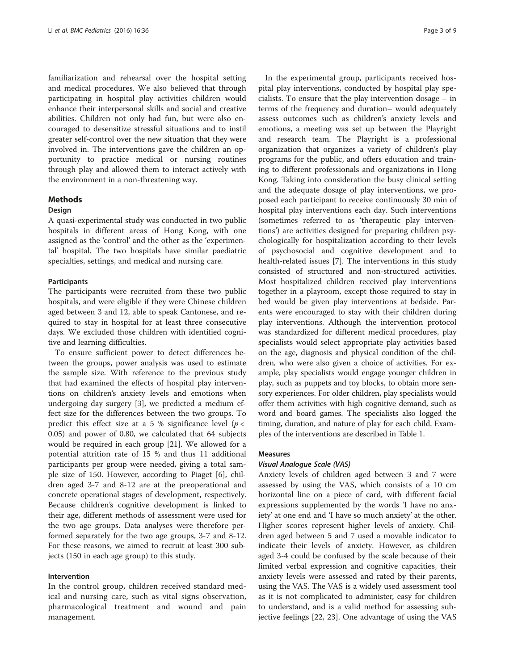familiarization and rehearsal over the hospital setting and medical procedures. We also believed that through participating in hospital play activities children would enhance their interpersonal skills and social and creative abilities. Children not only had fun, but were also encouraged to desensitize stressful situations and to instil greater self-control over the new situation that they were involved in. The interventions gave the children an opportunity to practice medical or nursing routines through play and allowed them to interact actively with the environment in a non-threatening way.

### Methods

#### **Design**

A quasi-experimental study was conducted in two public hospitals in different areas of Hong Kong, with one assigned as the 'control' and the other as the 'experimental' hospital. The two hospitals have similar paediatric specialties, settings, and medical and nursing care.

#### **Participants**

The participants were recruited from these two public hospitals, and were eligible if they were Chinese children aged between 3 and 12, able to speak Cantonese, and required to stay in hospital for at least three consecutive days. We excluded those children with identified cognitive and learning difficulties.

To ensure sufficient power to detect differences between the groups, power analysis was used to estimate the sample size. With reference to the previous study that had examined the effects of hospital play interventions on children's anxiety levels and emotions when undergoing day surgery [\[3](#page-8-0)], we predicted a medium effect size for the differences between the two groups. To predict this effect size at a 5 % significance level ( $p <$ 0.05) and power of 0.80, we calculated that 64 subjects would be required in each group [\[21\]](#page-8-0). We allowed for a potential attrition rate of 15 % and thus 11 additional participants per group were needed, giving a total sample size of 150. However, according to Piaget [[6](#page-8-0)], children aged 3-7 and 8-12 are at the preoperational and concrete operational stages of development, respectively. Because children's cognitive development is linked to their age, different methods of assessment were used for the two age groups. Data analyses were therefore performed separately for the two age groups, 3-7 and 8-12. For these reasons, we aimed to recruit at least 300 subjects (150 in each age group) to this study.

#### Intervention

In the control group, children received standard medical and nursing care, such as vital signs observation, pharmacological treatment and wound and pain management.

In the experimental group, participants received hospital play interventions, conducted by hospital play specialists. To ensure that the play intervention dosage – in terms of the frequency and duration– would adequately assess outcomes such as children's anxiety levels and emotions, a meeting was set up between the Playright and research team. The Playright is a professional organization that organizes a variety of children's play programs for the public, and offers education and training to different professionals and organizations in Hong Kong. Taking into consideration the busy clinical setting and the adequate dosage of play interventions, we proposed each participant to receive continuously 30 min of hospital play interventions each day. Such interventions (sometimes referred to as 'therapeutic play interventions') are activities designed for preparing children psychologically for hospitalization according to their levels of psychosocial and cognitive development and to health-related issues [\[7](#page-8-0)]. The interventions in this study consisted of structured and non-structured activities. Most hospitalized children received play interventions together in a playroom, except those required to stay in bed would be given play interventions at bedside. Parents were encouraged to stay with their children during play interventions. Although the intervention protocol was standardized for different medical procedures, play specialists would select appropriate play activities based on the age, diagnosis and physical condition of the children, who were also given a choice of activities. For example, play specialists would engage younger children in play, such as puppets and toy blocks, to obtain more sensory experiences. For older children, play specialists would offer them activities with high cognitive demand, such as word and board games. The specialists also logged the timing, duration, and nature of play for each child. Examples of the interventions are described in Table [1](#page-3-0).

#### Measures

#### Visual Analogue Scale (VAS)

Anxiety levels of children aged between 3 and 7 were assessed by using the VAS, which consists of a 10 cm horizontal line on a piece of card, with different facial expressions supplemented by the words 'I have no anxiety' at one end and 'I have so much anxiety' at the other. Higher scores represent higher levels of anxiety. Children aged between 5 and 7 used a movable indicator to indicate their levels of anxiety. However, as children aged 3-4 could be confused by the scale because of their limited verbal expression and cognitive capacities, their anxiety levels were assessed and rated by their parents, using the VAS. The VAS is a widely used assessment tool as it is not complicated to administer, easy for children to understand, and is a valid method for assessing subjective feelings [[22, 23\]](#page-8-0). One advantage of using the VAS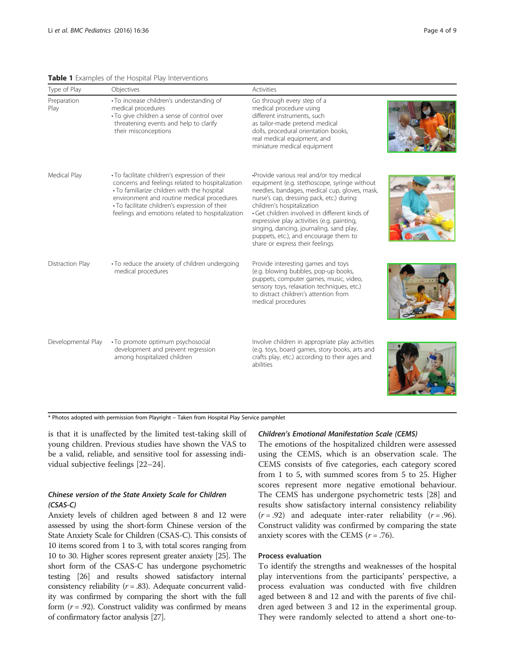#### <span id="page-3-0"></span>Table 1 Examples of the Hospital Play Interventions

| Type of Play        | Objectives                                                                                                                                                                                                                                                                                            | <b>Activities</b>                                                                                                                                                                                                                                                                                                                                                                                                                          |  |
|---------------------|-------------------------------------------------------------------------------------------------------------------------------------------------------------------------------------------------------------------------------------------------------------------------------------------------------|--------------------------------------------------------------------------------------------------------------------------------------------------------------------------------------------------------------------------------------------------------------------------------------------------------------------------------------------------------------------------------------------------------------------------------------------|--|
| Preparation<br>Play | • To increase children's understanding of<br>medical procedures<br>• To give children a sense of control over<br>threatening events and help to clarify<br>their misconceptions                                                                                                                       | Go through every step of a<br>medical procedure using<br>different instruments, such<br>as tailor-made pretend medical<br>dolls, procedural orientation books,<br>real medical equipment, and<br>miniature medical equipment                                                                                                                                                                                                               |  |
| Medical Play        | • To facilitate children's expression of their<br>concerns and feelings related to hospitalization<br>• To familiarize children with the hospital<br>environment and routine medical procedures<br>• To facilitate children's expression of their<br>feelings and emotions related to hospitalization | •Provide various real and/or toy medical<br>equipment (e.g. stethoscope, syringe without<br>needles, bandages, medical cup, gloves, mask,<br>nurse's cap, dressing pack, etc.) during<br>children's hospitalization<br>· Get children involved in different kinds of<br>expressive play activities (e.g. painting,<br>singing, dancing, journaling, sand play,<br>puppets, etc.), and encourage them to<br>share or express their feelings |  |
| Distraction Play    | · To reduce the anxiety of children undergoing<br>medical procedures                                                                                                                                                                                                                                  | Provide interesting games and toys<br>(e.g. blowing bubbles, pop-up books,<br>puppets, computer games, music, video,<br>sensory toys, relaxation techniques, etc.)<br>to distract children's attention from<br>medical procedures                                                                                                                                                                                                          |  |
| Developmental Play  | · To promote optimum psychosocial<br>development and prevent regression<br>among hospitalized children                                                                                                                                                                                                | Involve children in appropriate play activities<br>(e.g. toys, board games, story books, arts and<br>crafts play, etc.) according to their ages and<br>abilities                                                                                                                                                                                                                                                                           |  |

\* Photos adopted with permission from Playright – Taken from Hospital Play Service pamphlet

is that it is unaffected by the limited test-taking skill of young children. Previous studies have shown the VAS to be a valid, reliable, and sensitive tool for assessing individual subjective feelings [\[22](#page-8-0)–[24\]](#page-8-0).

# Chinese version of the State Anxiety Scale for Children (CSAS-C)

Anxiety levels of children aged between 8 and 12 were assessed by using the short-form Chinese version of the State Anxiety Scale for Children (CSAS-C). This consists of 10 items scored from 1 to 3, with total scores ranging from 10 to 30. Higher scores represent greater anxiety [\[25\]](#page-8-0). The short form of the CSAS-C has undergone psychometric testing [[26](#page-8-0)] and results showed satisfactory internal consistency reliability ( $r = .83$ ). Adequate concurrent validity was confirmed by comparing the short with the full form  $(r = .92)$ . Construct validity was confirmed by means of confirmatory factor analysis [[27](#page-8-0)].

#### Children's Emotional Manifestation Scale (CEMS)

The emotions of the hospitalized children were assessed using the CEMS, which is an observation scale. The CEMS consists of five categories, each category scored from 1 to 5, with summed scores from 5 to 25. Higher scores represent more negative emotional behaviour. The CEMS has undergone psychometric tests [\[28](#page-8-0)] and results show satisfactory internal consistency reliability  $(r = .92)$  and adequate inter-rater reliability  $(r = .96)$ . Construct validity was confirmed by comparing the state anxiety scores with the CEMS  $(r = .76)$ .

**All Property** 

# Process evaluation

To identify the strengths and weaknesses of the hospital play interventions from the participants' perspective, a process evaluation was conducted with five children aged between 8 and 12 and with the parents of five children aged between 3 and 12 in the experimental group. They were randomly selected to attend a short one-to-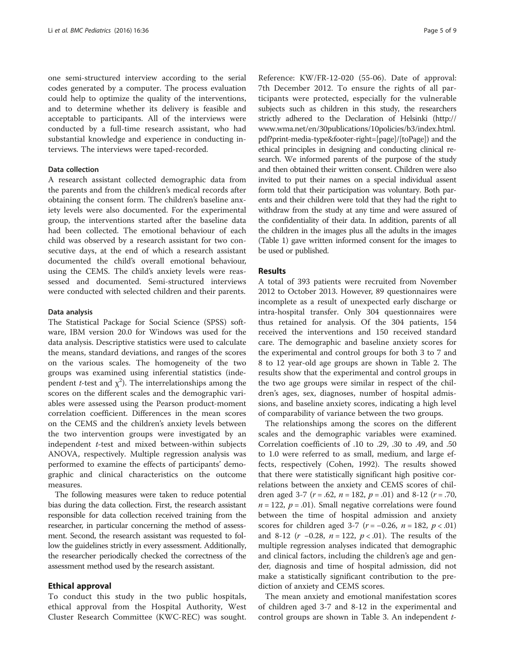one semi-structured interview according to the serial codes generated by a computer. The process evaluation could help to optimize the quality of the interventions, and to determine whether its delivery is feasible and acceptable to participants. All of the interviews were conducted by a full-time research assistant, who had substantial knowledge and experience in conducting interviews. The interviews were taped-recorded.

#### Data collection

A research assistant collected demographic data from the parents and from the children's medical records after obtaining the consent form. The children's baseline anxiety levels were also documented. For the experimental group, the interventions started after the baseline data had been collected. The emotional behaviour of each child was observed by a research assistant for two consecutive days, at the end of which a research assistant documented the child's overall emotional behaviour, using the CEMS. The child's anxiety levels were reassessed and documented. Semi-structured interviews were conducted with selected children and their parents.

#### Data analysis

The Statistical Package for Social Science (SPSS) software, IBM version 20.0 for Windows was used for the data analysis. Descriptive statistics were used to calculate the means, standard deviations, and ranges of the scores on the various scales. The homogeneity of the two groups was examined using inferential statistics (independent *t*-test and  $\chi^2$ ). The interrelationships among the scores on the different scales and the demographic variables were assessed using the Pearson product-moment correlation coefficient. Differences in the mean scores on the CEMS and the children's anxiety levels between the two intervention groups were investigated by an independent t-test and mixed between-within subjects ANOVA, respectively. Multiple regression analysis was performed to examine the effects of participants' demographic and clinical characteristics on the outcome measures.

The following measures were taken to reduce potential bias during the data collection. First, the research assistant responsible for data collection received training from the researcher, in particular concerning the method of assessment. Second, the research assistant was requested to follow the guidelines strictly in every assessment. Additionally, the researcher periodically checked the correctness of the assessment method used by the research assistant.

#### Ethical approval

To conduct this study in the two public hospitals, ethical approval from the Hospital Authority, West Cluster Research Committee (KWC-REC) was sought.

Reference: KW/FR-12-020 (55-06). Date of approval: 7th December 2012. To ensure the rights of all participants were protected, especially for the vulnerable subjects such as children in this study, the researchers strictly adhered to the Declaration of Helsinki ([http://](http://www.wma.net/en/30publications/10policies/b3/index.html.pdf?print-media-type&footer-right=<page>/<toPage>) [www.wma.net/en/30publications/10policies/b3/index.html.](http://www.wma.net/en/30publications/10policies/b3/index.html.pdf?print-media-type&footer-right=<page>/<toPage>) [pdf?print-media-type&footer-right=\[page\]/\[toPage\]](http://www.wma.net/en/30publications/10policies/b3/index.html.pdf?print-media-type&footer-right=<page>/<toPage>)) and the ethical principles in designing and conducting clinical research. We informed parents of the purpose of the study and then obtained their written consent. Children were also invited to put their names on a special individual assent form told that their participation was voluntary. Both parents and their children were told that they had the right to withdraw from the study at any time and were assured of the confidentiality of their data. In addition, parents of all the children in the images plus all the adults in the images (Table [1](#page-3-0)) gave written informed consent for the images to be used or published.

#### **Results**

A total of 393 patients were recruited from November 2012 to October 2013. However, 89 questionnaires were incomplete as a result of unexpected early discharge or intra-hospital transfer. Only 304 questionnaires were thus retained for analysis. Of the 304 patients, 154 received the interventions and 150 received standard care. The demographic and baseline anxiety scores for the experimental and control groups for both 3 to 7 and 8 to 12 year-old age groups are shown in Table [2](#page-5-0). The results show that the experimental and control groups in the two age groups were similar in respect of the children's ages, sex, diagnoses, number of hospital admissions, and baseline anxiety scores, indicating a high level of comparability of variance between the two groups.

The relationships among the scores on the different scales and the demographic variables were examined. Correlation coefficients of .10 to .29, .30 to .49, and .50 to 1.0 were referred to as small, medium, and large effects, respectively (Cohen, 1992). The results showed that there were statistically significant high positive correlations between the anxiety and CEMS scores of children aged 3-7 ( $r = .62$ ,  $n = 182$ ,  $p = .01$ ) and 8-12 ( $r = .70$ ,  $n = 122$ ,  $p = .01$ ). Small negative correlations were found between the time of hospital admission and anxiety scores for children aged 3-7 ( $r = -0.26$ ,  $n = 182$ ,  $p < .01$ ) and 8-12 ( $r$  −0.28,  $n = 122$ ,  $p < .01$ ). The results of the multiple regression analyses indicated that demographic and clinical factors, including the children's age and gender, diagnosis and time of hospital admission, did not make a statistically significant contribution to the prediction of anxiety and CEMS scores.

The mean anxiety and emotional manifestation scores of children aged 3-7 and 8-12 in the experimental and control groups are shown in Table [3](#page-5-0). An independent t-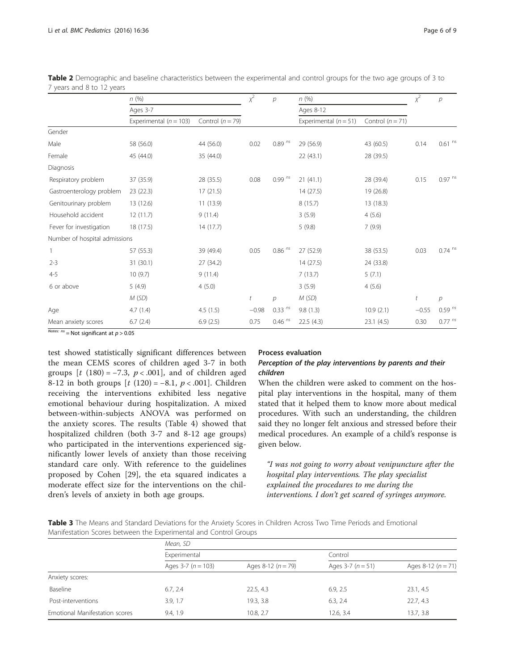|                               | n(%)<br>Ages 3-7           |                    | $\chi^2$<br>$\overline{p}$ | n(%)           |                         | $x^2$              | $\overline{p}$ |                      |
|-------------------------------|----------------------------|--------------------|----------------------------|----------------|-------------------------|--------------------|----------------|----------------------|
|                               |                            |                    |                            |                | Ages 8-12               |                    |                |                      |
|                               | Experimental ( $n = 103$ ) | Control $(n = 79)$ |                            |                | Experimental $(n = 51)$ | Control $(n = 71)$ |                |                      |
| Gender                        |                            |                    |                            |                |                         |                    |                |                      |
| Male                          | 58 (56.0)                  | 44 (56.0)          | 0.02                       | $0.89^{ns}$    | 29 (56.9)               | 43 (60.5)          | 0.14           | $0.61~^{\rm ns}$     |
| Female                        | 45 (44.0)                  | 35 (44.0)          |                            |                | 22(43.1)                | 28 (39.5)          |                |                      |
| <b>Diagnosis</b>              |                            |                    |                            |                |                         |                    |                |                      |
| Respiratory problem           | 37 (35.9)                  | 28 (35.5)          | 0.08                       | $0.99^{ns}$    | 21(41.1)                | 28 (39.4)          | 0.15           | $0.97$ <sup>ns</sup> |
| Gastroenterology problem      | 23(22.3)                   | 17(21.5)           |                            |                | 14(27.5)                | 19 (26.8)          |                |                      |
| Genitourinary problem         | 13 (12.6)                  | 11(13.9)           |                            |                | 8(15.7)                 | 13(18.3)           |                |                      |
| Household accident            | 12(11.7)                   | 9(11.4)            |                            |                | 3(5.9)                  | 4(5.6)             |                |                      |
| Fever for investigation       | 18 (17.5)                  | 14 (17.7)          |                            |                | 5(9.8)                  | 7(9.9)             |                |                      |
| Number of hospital admissions |                            |                    |                            |                |                         |                    |                |                      |
| 1                             | 57 (55.3)                  | 39 (49.4)          | 0.05                       | $0.86$ $^{ns}$ | 27 (52.9)               | 38 (53.5)          | 0.03           | $0.74$ ns            |
| $2 - 3$                       | 31 (30.1)                  | 27 (34.2)          |                            |                | 14(27.5)                | 24 (33.8)          |                |                      |
| $4 - 5$                       | 10(9.7)                    | 9(11.4)            |                            |                | 7(13.7)                 | 5(7.1)             |                |                      |
| 6 or above                    | 5(4.9)                     | 4(5.0)             |                            |                | 3(5.9)                  | 4(5.6)             |                |                      |
|                               | M(SD)                      |                    | t                          | р              | M(SD)                   |                    | t              | $\mathcal{P}$        |
| Age                           | 4.7(1.4)                   | 4.5(1.5)           | $-0.98$                    | $0.33^{ns}$    | 9.8(1.3)                | 10.9(2.1)          | $-0.55$        | $0.59^{ns}$          |
| Mean anxiety scores           | 6.7(2.4)                   | 6.9(2.5)           | 0.75                       | $0.46$ $^{ns}$ | 22.5(4.3)               | 23.1(4.5)          | 0.30           | $0.77$ $^{ns}$       |

<span id="page-5-0"></span>Table 2 Demographic and baseline characteristics between the experimental and control groups for the two age groups of 3 to 7 years and 8 to 12 years

 $\frac{1}{\text{Notes: ns}} = \text{Not significant at } p > 0.05$ 

test showed statistically significant differences between the mean CEMS scores of children aged 3-7 in both groups  $[t (180) = -7.3, p < .001]$ , and of children aged 8-12 in both groups  $[t (120) = -8.1, p < .001]$ . Children receiving the interventions exhibited less negative emotional behaviour during hospitalization. A mixed between-within-subjects ANOVA was performed on the anxiety scores. The results (Table [4](#page-6-0)) showed that hospitalized children (both 3-7 and 8-12 age groups) who participated in the interventions experienced significantly lower levels of anxiety than those receiving standard care only. With reference to the guidelines proposed by Cohen [[29\]](#page-8-0), the eta squared indicates a moderate effect size for the interventions on the children's levels of anxiety in both age groups.

#### Process evaluation

# Perception of the play interventions by parents and their children

When the children were asked to comment on the hospital play interventions in the hospital, many of them stated that it helped them to know more about medical procedures. With such an understanding, the children said they no longer felt anxious and stressed before their medical procedures. An example of a child's response is given below.

"I was not going to worry about venipuncture after the hospital play interventions. The play specialist explained the procedures to me during the interventions. I don't get scared of syringes anymore.

Table 3 The Means and Standard Deviations for the Anxiety Scores in Children Across Two Time Periods and Emotional Manifestation Scores between the Experimental and Control Groups

|                                | Mean, SD            |                        |                  |                      |  |
|--------------------------------|---------------------|------------------------|------------------|----------------------|--|
|                                | Experimental        |                        | Control          |                      |  |
|                                | Ages $3-7(n = 103)$ | Ages 8-12 ( $n = 79$ ) | Ages $3-7(n=51)$ | Ages 8-12 $(n = 71)$ |  |
| Anxiety scores:                |                     |                        |                  |                      |  |
| Baseline                       | 6.7, 2.4            | 22.5, 4.3              | 6.9, 2.5         | 23.1, 4.5            |  |
| Post-interventions             | 3.9, 1.7            | 19.3, 3.8              | 6.3, 2.4         | 22.7, 4.3            |  |
| Emotional Manifestation scores | 9.4, 1.9            | 10.8, 2.7              | 12.6.3.4         | 13.7, 3.8            |  |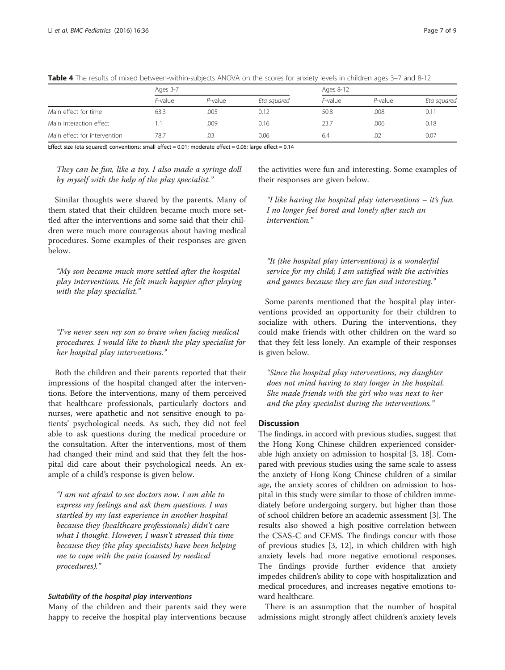|                              | Ages 3-7 |            |             | Ages 8-12 |            |             |
|------------------------------|----------|------------|-------------|-----------|------------|-------------|
|                              | F-value  | $P$ -value | Eta squared | F-value   | $P$ -value | Eta squared |
| Main effect for time         | 63.3     | .005       | 0.12        | 50.8      | .008       | 0.11        |
| Main interaction effect      |          | .009       | 0.16        | 23.7      | .006       | 0.18        |
| Main effect for intervention | 78.7     | .03        | 0.06        | 6.4       | .02        | 0.07        |

<span id="page-6-0"></span>Table 4 The results of mixed between-within-subjects ANOVA on the scores for anxiety levels in children ages 3-7 and 8-12

Effect size (eta squared) conventions: small effect =  $0.01$ ; moderate effect =  $0.06$ ; large effect =  $0.14$ 

They can be fun, like a toy. I also made a syringe doll by myself with the help of the play specialist."

the activities were fun and interesting. Some examples of their responses are given below.

Similar thoughts were shared by the parents. Many of them stated that their children became much more settled after the interventions and some said that their children were much more courageous about having medical procedures. Some examples of their responses are given below.

"My son became much more settled after the hospital play interventions. He felt much happier after playing with the play specialist."

"I've never seen my son so brave when facing medical procedures. I would like to thank the play specialist for her hospital play interventions."

Both the children and their parents reported that their impressions of the hospital changed after the interventions. Before the interventions, many of them perceived that healthcare professionals, particularly doctors and nurses, were apathetic and not sensitive enough to patients' psychological needs. As such, they did not feel able to ask questions during the medical procedure or the consultation. After the interventions, most of them had changed their mind and said that they felt the hospital did care about their psychological needs. An example of a child's response is given below.

"I am not afraid to see doctors now. I am able to express my feelings and ask them questions. I was startled by my last experience in another hospital because they (healthcare professionals) didn't care what I thought. However, I wasn't stressed this time because they (the play specialists) have been helping me to cope with the pain (caused by medical procedures)."

#### Suitability of the hospital play interventions

Many of the children and their parents said they were happy to receive the hospital play interventions because

"I like having the hospital play interventions – it's fun. I no longer feel bored and lonely after such an intervention."

"It (the hospital play interventions) is a wonderful service for my child; I am satisfied with the activities and games because they are fun and interesting."

Some parents mentioned that the hospital play interventions provided an opportunity for their children to socialize with others. During the interventions, they could make friends with other children on the ward so that they felt less lonely. An example of their responses is given below.

"Since the hospital play interventions, my daughter does not mind having to stay longer in the hospital. She made friends with the girl who was next to her and the play specialist during the interventions."

#### **Discussion**

The findings, in accord with previous studies, suggest that the Hong Kong Chinese children experienced considerable high anxiety on admission to hospital [\[3](#page-8-0), [18](#page-8-0)]. Compared with previous studies using the same scale to assess the anxiety of Hong Kong Chinese children of a similar age, the anxiety scores of children on admission to hospital in this study were similar to those of children immediately before undergoing surgery, but higher than those of school children before an academic assessment [[3\]](#page-8-0). The results also showed a high positive correlation between the CSAS-C and CEMS. The findings concur with those of previous studies [[3](#page-8-0), [12](#page-8-0)], in which children with high anxiety levels had more negative emotional responses. The findings provide further evidence that anxiety impedes children's ability to cope with hospitalization and medical procedures, and increases negative emotions toward healthcare.

There is an assumption that the number of hospital admissions might strongly affect children's anxiety levels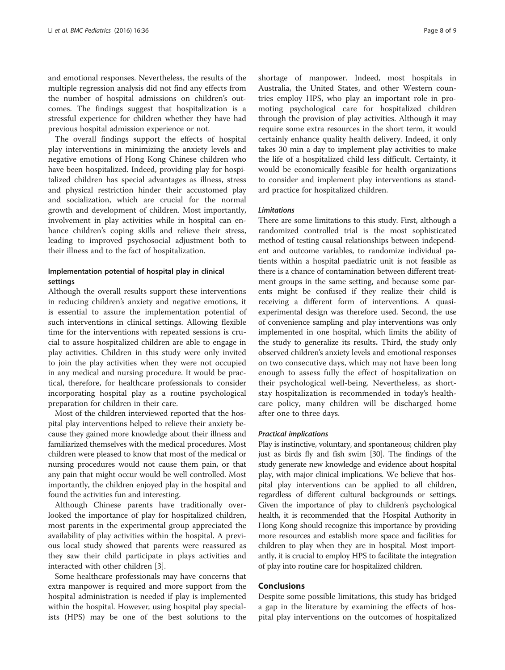and emotional responses. Nevertheless, the results of the multiple regression analysis did not find any effects from the number of hospital admissions on children's outcomes. The findings suggest that hospitalization is a stressful experience for children whether they have had previous hospital admission experience or not.

The overall findings support the effects of hospital play interventions in minimizing the anxiety levels and negative emotions of Hong Kong Chinese children who have been hospitalized. Indeed, providing play for hospitalized children has special advantages as illness, stress and physical restriction hinder their accustomed play and socialization, which are crucial for the normal growth and development of children. Most importantly, involvement in play activities while in hospital can enhance children's coping skills and relieve their stress, leading to improved psychosocial adjustment both to their illness and to the fact of hospitalization.

# Implementation potential of hospital play in clinical settings

Although the overall results support these interventions in reducing children's anxiety and negative emotions, it is essential to assure the implementation potential of such interventions in clinical settings. Allowing flexible time for the interventions with repeated sessions is crucial to assure hospitalized children are able to engage in play activities. Children in this study were only invited to join the play activities when they were not occupied in any medical and nursing procedure. It would be practical, therefore, for healthcare professionals to consider incorporating hospital play as a routine psychological preparation for children in their care.

Most of the children interviewed reported that the hospital play interventions helped to relieve their anxiety because they gained more knowledge about their illness and familiarized themselves with the medical procedures. Most children were pleased to know that most of the medical or nursing procedures would not cause them pain, or that any pain that might occur would be well controlled. Most importantly, the children enjoyed play in the hospital and found the activities fun and interesting.

Although Chinese parents have traditionally overlooked the importance of play for hospitalized children, most parents in the experimental group appreciated the availability of play activities within the hospital. A previous local study showed that parents were reassured as they saw their child participate in plays activities and interacted with other children [[3](#page-8-0)].

Some healthcare professionals may have concerns that extra manpower is required and more support from the hospital administration is needed if play is implemented within the hospital. However, using hospital play specialists (HPS) may be one of the best solutions to the shortage of manpower. Indeed, most hospitals in Australia, the United States, and other Western countries employ HPS, who play an important role in promoting psychological care for hospitalized children through the provision of play activities. Although it may require some extra resources in the short term, it would certainly enhance quality health delivery. Indeed, it only takes 30 min a day to implement play activities to make the life of a hospitalized child less difficult. Certainty, it would be economically feasible for health organizations to consider and implement play interventions as standard practice for hospitalized children.

#### Limitations

There are some limitations to this study. First, although a randomized controlled trial is the most sophisticated method of testing causal relationships between independent and outcome variables, to randomize individual patients within a hospital paediatric unit is not feasible as there is a chance of contamination between different treatment groups in the same setting, and because some parents might be confused if they realize their child is receiving a different form of interventions. A quasiexperimental design was therefore used. Second, the use of convenience sampling and play interventions was only implemented in one hospital, which limits the ability of the study to generalize its results. Third, the study only observed children's anxiety levels and emotional responses on two consecutive days, which may not have been long enough to assess fully the effect of hospitalization on their psychological well-being. Nevertheless, as shortstay hospitalization is recommended in today's healthcare policy, many children will be discharged home after one to three days.

#### Practical implications

Play is instinctive, voluntary, and spontaneous; children play just as birds fly and fish swim [\[30\]](#page-8-0). The findings of the study generate new knowledge and evidence about hospital play, with major clinical implications. We believe that hospital play interventions can be applied to all children, regardless of different cultural backgrounds or settings. Given the importance of play to children's psychological health, it is recommended that the Hospital Authority in Hong Kong should recognize this importance by providing more resources and establish more space and facilities for children to play when they are in hospital. Most importantly, it is crucial to employ HPS to facilitate the integration of play into routine care for hospitalized children.

#### Conclusions

Despite some possible limitations, this study has bridged a gap in the literature by examining the effects of hospital play interventions on the outcomes of hospitalized